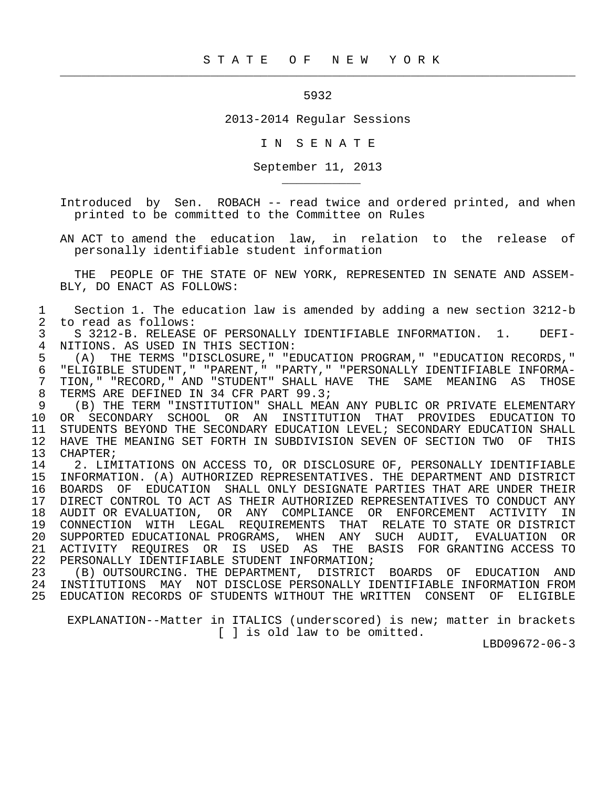## 5932

 $\frac{1}{2}$  , and the contribution of the contribution of the contribution of the contribution of the contribution of the contribution of the contribution of the contribution of the contribution of the contribution of the c

\_\_\_\_\_\_\_\_\_\_\_

2013-2014 Regular Sessions

I N S E N A T E

September 11, 2013

 Introduced by Sen. ROBACH -- read twice and ordered printed, and when printed to be committed to the Committee on Rules

 AN ACT to amend the education law, in relation to the release of personally identifiable student information

 THE PEOPLE OF THE STATE OF NEW YORK, REPRESENTED IN SENATE AND ASSEM- BLY, DO ENACT AS FOLLOWS:

1 Section 1. The education law is amended by adding a new section 3212-b<br>2 to read as follows: 2 to read as follows:<br>3 S 3212-B. RELEASE

3 S 3212-B. RELEASE OF PERSONALLY IDENTIFIABLE INFORMATION. 1. DEFI-<br>4 NITIONS. AS USED IN THIS SECTION: 4 NITIONS. AS USED IN THIS SECTION:<br>5 (A) THE TERMS "DISCLOSURE." "E

 5 (A) THE TERMS "DISCLOSURE," "EDUCATION PROGRAM," "EDUCATION RECORDS," 6 "ELIGIBLE STUDENT," "PARENT," "PARTY," "PERSONALLY IDENTIFIABLE INFORMA-<br>7 TION." "RECORD." AND "STUDENT" SHALL HAVE THE SAME MEANING AS THOSE 7 TION," "RECORD," AND "STUDENT" SHALL HAVE THE SAME MEANING AS THOSE<br>8 TERMS ARE DEFINED IN 34 CFR PART 99.3; 8 TERMS ARE DEFINED IN 34 CFR PART 99.3;<br>9 (B) THE TERM "INSTITUTION" SHALL MEA

 9 (B) THE TERM "INSTITUTION" SHALL MEAN ANY PUBLIC OR PRIVATE ELEMENTARY 10 OR SECONDARY SCHOOL OR AN INSTITUTION THAT PROVIDES EDUCATION TO 11 STUDENTS BEYOND THE SECONDARY EDUCATION LEVEL; SECONDARY EDUCATION SHALL<br>12 HAVE THE MEANING SET FORTH IN SUBDIVISION SEVEN OF SECTION TWO OF THIS 12 HAVE THE MEANING SET FORTH IN SUBDIVISION SEVEN OF SECTION TWO OF THIS<br>13 CHAPTER; 13 CHAPTER;<br>14 2. LIM

14 12. LIMITATIONS ON ACCESS TO, OR DISCLOSURE OF, PERSONALLY IDENTIFIABLE<br>15 INFORMATION. (A) AUTHORIZED REPRESENTATIVES. THE DEPARTMENT AND DISTRICT 15 INFORMATION. (A) AUTHORIZED REPRESENTATIVES. THE DEPARTMENT AND DISTRICT 16 BOARDS OF EDUCATION SHALL ONLY DESIGNATE PARTIES THAT ARE UNDER THEIR 17 DIRECT CONTROL TO ACT AS THEIR AUTHORIZED REPRESENTATIVES TO CONDUCT ANY<br>18 AUDIT OR EVALUATION, OR ANY COMPLIANCE OR ENFORCEMENT ACTIVITY IN 18 AUDIT OR EVALUATION, OR ANY COMPLIANCE OR ENFORCEMENT ACTIVITY IN<br>19 CONNECTION WITH LEGAL REOUIREMENTS THAT RELATE TO STATE OR DISTRICT 19 CONNECTION WITH LEGAL REQUIREMENTS THAT RELATE TO STATE OR DISTRICT<br>20 SUPPORTED EDUCATIONAL PROGRAMS, WHEN ANY SUCH AUDIT, EVALUATION OR 20 SUPPORTED EDUCATIONAL PROGRAMS, WHEN ANY SUCH AUDIT, EVALUATION OR 21 ACTIVITY REQUIRES OR IS USED AS THE BASIS FOR GRANTING ACCESS TO 22 PERSONALLY IDENTIFIABLE STUDENT INFORMATION;<br>23 (B) OUTSOURCING, THE DEPARTMENT, DISTRICT

(B) OUTSOURCING. THE DEPARTMENT, DISTRICT BOARDS OF EDUCATION AND 24 INSTITUTIONS MAY NOT DISCLOSE PERSONALLY IDENTIFIABLE INFORMATION FROM 25 EDUCATION RECORDS OF STUDENTS WITHOUT THE WRITTEN CONSENT OF ELIGIBLE

 EXPLANATION--Matter in ITALICS (underscored) is new; matter in brackets [ ] is old law to be omitted.

LBD09672-06-3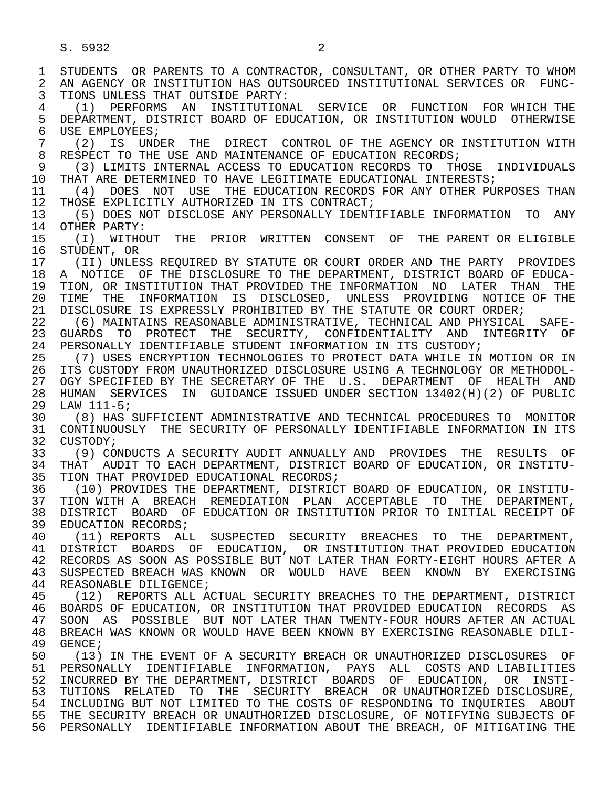1 STUDENTS OR PARENTS TO A CONTRACTOR, CONSULTANT, OR OTHER PARTY TO WHOM<br>2 AN AGENCY OR INSTITUTION HAS OUTSOURCED INSTITUTIONAL SERVICES OR FUNC-2 AN AGENCY OR INSTITUTION HAS OUTSOURCED INSTITUTIONAL SERVICES OR FUNC-<br>3 TIONS UNLESS THAT OUTSIDE PARTY: 3 TIONS UNLESS THAT OUTSIDE PARTY: 4 (1) PERFORMS AN INSTITUTIONAL SERVICE OR FUNCTION FOR WHICH THE 5 DEPARTMENT, DISTRICT BOARD OF EDUCATION, OR INSTITUTION WOULD OTHERWISE<br>6 USE EMPLOYEES; 6 USE EMPLOYEES;<br>7 (2) IS UND 7 (2) IS UNDER THE DIRECT CONTROL OF THE AGENCY OR INSTITUTION WITH  $\overline{R}$  respect to the USE and Maintenance of Education Records; 8 RESPECT TO THE USE AND MAINTENANCE OF EDUCATION RECORDS;<br>9 (3) LIMITS INTERNAL ACCESS TO EDUCATION RECORDS TO THO 9 (3) LIMITS INTERNAL ACCESS TO EDUCATION RECORDS TO THOSE INDIVIDUALS<br>10 THAT ARE DETERMINED TO HAVE LEGITIMATE EDUCATIONAL INTERESTS; 10 THAT ARE DETERMINED TO HAVE LEGITIMATE EDUCATIONAL INTERESTS;<br>11 (4) DOES NOT USE THE EDUCATION RECORDS FOR ANY OTHER PUI 11 (4) DOES NOT USE THE EDUCATION RECORDS FOR ANY OTHER PURPOSES THAN<br>12 THOSE EXPLICITLY AUTHORIZED IN ITS CONTRACT; 12 THOSE EXPLICITLY AUTHORIZED IN ITS CONTRACT;<br>13 (5) DOES NOT DISCLOSE ANY PERSONALLY IDENT 13 (5) DOES NOT DISCLOSE ANY PERSONALLY IDENTIFIABLE INFORMATION TO ANY 14 OTHER PARTY: OTHER PARTY: 15 (I) WITHOUT THE PRIOR WRITTEN CONSENT OF THE PARENT OR ELIGIBLE<br>16 STUDENT, OR 16 STUDENT, OR<br>17 (II) UNLES 17 (II) UNLESS REQUIRED BY STATUTE OR COURT ORDER AND THE PARTY PROVIDES<br>18 A NOTICE OF THE DISCLOSURE TO THE DEPARTMENT, DISTRICT BOARD OF EDUCA-18 A NOTICE OF THE DISCLOSURE TO THE DEPARTMENT, DISTRICT BOARD OF EDUCA-<br>19 TION, OR INSTITUTION THAT PROVIDED THE INFORMATION NO LATER THAN THE 19 TION, OR INSTITUTION THAT PROVIDED THE INFORMATION NO LATER THAN THE<br>20 TIME THE INFORMATION IS DISCLOSED, UNLESS PROVIDING NOTICE. OF THE 20 TIME THE INFORMATION IS DISCLOSED, UNLESS PROVIDING NOTICE OF THE 21 DISCLOSURE IS EXPRESSLY PROHIBITED BY THE STATUTE OR COURT ORDER; 21 DISCLOSURE IS EXPRESSLY PROHIBITED BY THE STATUTE OR COURT ORDER;<br>22 (6) MAINTAINS REASONABLE ADMINISTRATIVE, TECHNICAL AND PHYSICAL 22 (6) MAINTAINS REASONABLE ADMINISTRATIVE, TECHNICAL AND PHYSICAL SAFE- 23 GUARDS TO PROTECT THE SECURITY, CONFIDENTIALITY AND INTEGRITY OF 24 PERSONALLY IDENTIFIABLE STUDENT INFORMATION IN ITS CUSTODY;<br>25 (7) USES ENCRYPTION TECHNOLOGIES TO PROTECT DATA WHILE IN 25 (7) USES ENCRYPTION TECHNOLOGIES TO PROTECT DATA WHILE IN MOTION OR IN 26 ITS CUSTODY FROM UNAUTHORIZED DISCLOSURE USING A TECHNOLOGY OR METHODOL- 27 OGY SPECIFIED BY THE SECRETARY OF THE U.S. DEPARTMENT OF HEALTH AND<br>28 HUMAN SERVICES IN GUIDANCE ISSUED UNDER SECTION 13402(H)(2) OF PUBLIC 28 HUMAN SERVICES IN GUIDANCE ISSUED UNDER SECTION 13402(H)(2) OF PUBLIC 29 LAW 111-5;<br>30 (8) HAS 30 (8) HAS SUFFICIENT ADMINISTRATIVE AND TECHNICAL PROCEDURES TO MONITOR 31 CONTINUOUSLY THE SECURITY OF PERSONALLY IDENTIFIABLE INFORMATION IN ITS<br>32 CUSTODY: 32 CUSTODY;<br>33 (9) CO 33 (9) CONDUCTS A SECURITY AUDIT ANNUALLY AND PROVIDES THE RESULTS OF 34 THAT AUDIT TO EACH DEPARTMENT, DISTRICT BOARD OF EDUCATION, OR INSTITU-<br>35 TION THAT PROVIDED EDUCATIONAL RECORDS; 35 TION THAT PROVIDED EDUCATIONAL RECORDS;<br>36 (10) PROVIDES THE DEPARTMENT, DISTRICT 36 (10) PROVIDES THE DEPARTMENT, DISTRICT BOARD OF EDUCATION, OR INSTITU- 37 TION WITH A BREACH REMEDIATION PLAN ACCEPTABLE TO THE DEPARTMENT,<br>38 DISTRICT BOARD OF EDUCATION OR INSTITUTION PRIOR TO INITIAL RECEIPT OF 38 DISTRICT BOARD OF EDUCATION OR INSTITUTION PRIOR TO INITIAL RECEIPT OF 39 EDUCATION RECORDS; 39 EDUCATION RECORDS;<br>40 (11) REPORTS ALI (11) REPORTS ALL SUSPECTED SECURITY BREACHES TO THE DEPARTMENT, 41 DISTRICT BOARDS OF EDUCATION, OR INSTITUTION THAT PROVIDED EDUCATION<br>42 RECORDS AS SOON AS POSSIBLE BUT NOT LATER THAN FORTY-EIGHT HOURS AFTER A 42 RECORDS AS SOON AS POSSIBLE BUT NOT LATER THAN FORTY-EIGHT HOURS AFTER A<br>43 SUSPECTED BREACH WAS KNOWN OR WOULD HAVE. BEEN KNOWN BY EXERCISING 43 SUSPECTED BREACH WAS KNOWN OR WOULD HAVE BEEN KNOWN BY EXERCISING<br>44 REASONABLE DILIGENCE; 44 REASONABLE DILIGENCE;<br>45 (12) REPORTS ALL A (12) REPORTS ALL ACTUAL SECURITY BREACHES TO THE DEPARTMENT, DISTRICT 46 BOARDS OF EDUCATION, OR INSTITUTION THAT PROVIDED EDUCATION RECORDS AS<br>47 SOON AS POSSIBLE, BUT NOT LATER THAN TWENTY-FOUR HOURS AFTER AN ACTUAL 47 SOON AS POSSIBLE BUT NOT LATER THAN TWENTY-FOUR HOURS AFTER AN ACTUAL 48 BREACH WAS KNOWN OR WOULD HAVE BEEN KNOWN BY EXERCISING REASONABLE DILI-<br>49 GENCE; 49 GENCE;<br>50 (13) 50 (13) IN THE EVENT OF A SECURITY BREACH OR UNAUTHORIZED DISCLOSURES OF<br>51 PERSONALLY IDENTIFIABLE INFORMATION, PAYS ALL COSTS AND LIABILITIES 51 PERSONALLY IDENTIFIABLE INFORMATION, PAYS ALL COSTS AND LIABILITIES 52 INCURRED BY THE DEPARTMENT, DISTRICT BOARDS OF EDUCATION, OR INSTI-<br>53 TUTIONS RELATED TO THE SECURITY BREACH OR<sup>INAUTHORIZED DISCLOSURE.</sup> 53 TUTIONS RELATED TO THE SECURITY BREACH OR UNAUTHORIZED DISCLOSURE,<br>54 INCLUDING BUT NOT LIMITED TO THE COSTS OF RESPONDING TO INOUIRIES ABOUT 54 INCLUDING BUT NOT LIMITED TO THE COSTS OF RESPONDING TO INQUIRIES ABOUT 55 THE SECURITY BREACH OR UNAUTHORIZED DISCLOSURE, OF NOTIFYING SUBJECTS OF 56 PERSONALLY IDENTIFIABLE INFORMATION ABOUT THE BREACH, OF MITIGATING THE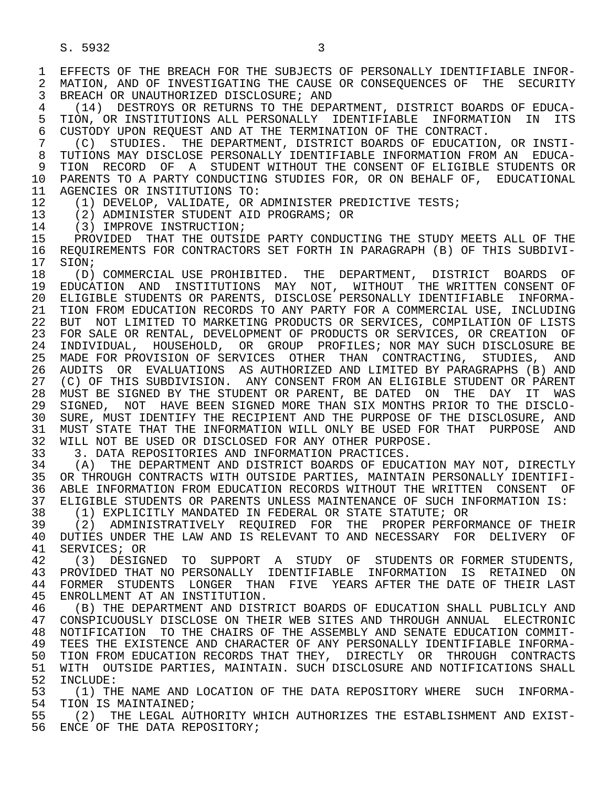1 EFFECTS OF THE BREACH FOR THE SUBJECTS OF PERSONALLY IDENTIFIABLE INFOR-<br>2 MATION, AND OF INVESTIGATING THE CAUSE OR CONSEOUENCES OF THE SECURITY 2 MATION, AND OF INVESTIGATING THE CAUSE OR CONSEQUENCES OF THE SECURITY<br>3 BREACH OR UNAUTHORIZED DISCLOSURE; AND BREACH OR UNAUTHORIZED DISCLOSURE; AND

4 (14) DESTROYS OR RETURNS TO THE DEPARTMENT, DISTRICT BOARDS OF EDUCA-<br>5 TION, OR INSTITUTIONS ALL PERSONALLY IDENTIFIABLE INFORMATION IN ITS 5 TION, OR INSTITUTIONS ALL PERSONALLY IDENTIFIABLE INFORMATION IN ITS<br>6 CUSTODY UPON REOUEST AND AT THE TERMINATION OF THE CONTRACT. 6 CUSTODY UPON REQUEST AND AT THE TERMINATION OF THE CONTRACT.<br>7 (C) STUDIES. THE DEPARTMENT, DISTRICT BOARDS OF EDUCATIO

 7 (C) STUDIES. THE DEPARTMENT, DISTRICT BOARDS OF EDUCATION, OR INSTI- 8 TUTIONS MAY DISCLOSE PERSONALLY IDENTIFIABLE INFORMATION FROM AN EDUCA- 9 TION RECORD OF A STUDENT-WITHOUT THE CONSENT OF ELIGIBLE STUDENTS OR<br>10 PARENTS TO A PARTY CONDUCTING STUDIES FOR OR ON BEHALE OF . EDUCATIONAL 10 PARENTS TO A PARTY CONDUCTING STUDIES FOR, OR ON BEHALF OF, EDUCATIONAL 11 AGENCIES OR INSTITUTIONS TO: 11 AGENCIES OR INSTITUTIONS TO:<br>12 (1) DEVELOP, VALIDATE, OR

12 (1) DEVELOP, VALIDATE, OR ADMINISTER PREDICTIVE TESTS;<br>13 (2) ADMINISTER STUDENT AID PROGRAMS; OR

13 (2) ADMINISTER STUDENT AID PROGRAMS; OR 14 (3) IMPROVE INSTRUCTION;

14 (3) IMPROVE INSTRUCTION;<br>15 PROVIDED THAT THE OUTSI 15 PROVIDED THAT THE OUTSIDE PARTY CONDUCTING THE STUDY MEETS ALL OF THE 16 ACTION PARTY CONTRACTORS SET FORTH IN PARAGRAPH (B) OF THIS SUBDIVI-16 REQUIREMENTS FOR CONTRACTORS SET FORTH IN PARAGRAPH (B) OF THIS SUBDIVI-<br>17 SION;

17 SION;<br>18 (D) 18 (D) COMMERCIAL USE PROHIBITED. THE DEPARTMENT, DISTRICT BOARDS OF<br>19 EDUCATION AND INSTITUTIONS MAY NOT. WITHOUT THE WRITTEN-CONSENT-OF 19 EDUCATION AND INSTITUTIONS MAY NOT, WITHOUT THE WRITTEN CONSENT OF<br>20 ELIGIBLE STUDENTS OR PARENTS, DISCLOSE PERSONALLY IDENTIFIABLE INFORMA-20 ELIGIBLE STUDENTS OR PARENTS, DISCLOSE PERSONALLY IDENTIFIABLE INFORMA-<br>21 TION FROM EDUCATION RECORDS TO ANY PARTY FOR A COMMERCIAL USE, INCLUDING 21 TION FROM EDUCATION RECORDS TO ANY PARTY FOR A COMMERCIAL USE, INCLUDING<br>22 BUT NOT LIMITED TO MARKETING PRODUCTS OR SERVICES, COMPILATION OF LISTS 22 BUT NOT LIMITED TO MARKETING PRODUCTS OR SERVICES, COMPILATION OF LISTS<br>23 FOR SALE OR RENTAL, DEVELOPMENT OF PRODUCTS OR SERVICES, OR CREATION OF 23 FOR SALE OR RENTAL, DEVELOPMENT OF PRODUCTS OR SERVICES, OR CREATION OF 24 INDIVIDUAL, HOUSEHOLD, OR GROUP PROFILES; NOR MAY SUCH DISCLOSURE BE 25 MADE FOR PROVISION OF SERVICES OTHER THAN CONTRACTING, STUDIES, AND 26 AUDITS OR EVALUATIONS AS AUTHORIZED AND LIMITED BY PARAGRAPHS (B) AND<br>27 (C) OF THIS SUBDIVISION. ANY CONSENT FROM AN ELIGIBLE STUDENT OR PARENT 27 (C) OF THIS SUBDIVISION. ANY CONSENT FROM AN ELIGIBLE STUDENT OR PARENT<br>28 MUST BE SIGNED BY THE STUDENT OR PARENT, BE DATED ON THE DAY IT WAS 28 MUST BE SIGNED BY THE STUDENT OR PARENT, BE DATED ON THE DAY IT WAS<br>29 SIGNED, NOT HAVE BEEN SIGNED MORE THAN SIX MONTHS PRIOR TO THE DISCLO-29 SIGNED, NOT HAVE BEEN SIGNED MORE THAN SIX MONTHS PRIOR TO THE DISCLO-<br>30 SURE, MUST IDENTIEY THE RECIPIENT AND THE PURPOSE OF THE DISCLOSURE, AND 30 SURE, MUST IDENTIFY THE RECIPIENT AND THE PURPOSE OF THE DISCLOSURE, AND<br>31 MUST STATE THAT THE INFORMATION WILL ONLY BE USED FOR THAT PURPOSE AND 31 MUST STATE THAT THE INFORMATION WILL ONLY BE USED FOR THAT PURPOSE AND<br>32 WILL NOT BE USED OR DISCLOSED FOR ANY OTHER PURPOSE. 32 WILL NOT BE USED OR DISCLOSED FOR ANY OTHER PURPOSE.<br>33 3. DATA REPOSITORIES AND INFORMATION PRACTICES.

33 3. DATA REPOSITORIES AND INFORMATION PRACTICES.<br>34 (A) THE DEPARTMENT AND DISTRICT BOARDS OF EDUC

34 (A) THE DEPARTMENT AND DISTRICT BOARDS OF EDUCATION MAY NOT, DIRECTLY<br>35 OR THROUGH CONTRACTS WITH OUTSIDE PARTIES, MAINTAIN PERSONALLY IDENTIFI-35 OR THROUGH CONTRACTS WITH OUTSIDE PARTIES, MAINTAIN PERSONALLY IDENTIFI-<br>36 ABLE INFORMATION FROM EDUCATION RECORDS WITHOUT THE WRITTEN CONSENT OF 36 ABLE INFORMATION FROM EDUCATION RECORDS WITHOUT THE WRITTEN CONSENT OF 37 ELIGIBLE STUDENTS OR PARENTS UNLESS MAINTENANCE OF SUCH INFORMATION IS:<br>38 (1) EXPLICITLY MANDATED IN FEDERAL OR STATE STATUTE; OR

38 (1) EXPLICITLY MANDATED IN FEDERAL OR STATE STATUTE; OR<br>39 (2) ADMINISTRATIVELY REOUIRED FOR THE PROPER PERFOI

39 (2) ADMINISTRATIVELY REQUIRED FOR THE PROPER PERFORMANCE OF THEIR<br>40 DUTIES UNDER THE LAW AND IS RELEVANT TO AND NECESSARY FOR DELIVERY OF 40 DUTIES UNDER THE LAW AND IS RELEVANT TO AND NECESSARY FOR DELIVERY OF 41 SERVICES: OR 41 SERVICES; OR<br>42 (3) DESIGI

42 (3) DESIGNED TO SUPPORT A STUDY OF STUDENTS ORFORMER-STUDENTS,<br>43 PROVIDED THAT NO PERSONALLY IDENTIFIABLE INFORMATION IS RETAINED ON 43 PROVIDED THAT NO PERSONALLY IDENTIFIABLE INFORMATION IS RETAINED ON<br>44 FORMER STUDENTS LONGER THAN FIVE YEARS-AFTER-THE-DATE-OF-THEIR-LAST 44 FORMER STUDENTS LONGER THAN FIVE YEARS AFTER THE DATE OF THEIR LAST 45 ENROLLMENT AT AN INSTITUTION. ENROLLMENT AT AN INSTITUTION.

46 (B) THE DEPARTMENT AND DISTRICT BOARDS OF EDUCATION SHALL PUBLICLY AND<br>47 CONSPICUOUSLY DISCLOSE ON THEIR WEB SITES AND THROUGH ANNUAL ELECTRONIC 47 CONSPICUOUSLY DISCLOSE ON THEIR WEB SITES AND THROUGH ANNUAL ELECTRONIC<br>48 NOTIFICATION TO THE CHAIRS OF THE ASSEMBLY AND SENATE EDUCATION COMMIT- 48 NOTIFICATION TO THE CHAIRS OF THE ASSEMBLY AND SENATE EDUCATION COMMIT- 49 TEES THE EXISTENCE AND CHARACTER OF ANY PERSONALLY IDENTIFIABLE INFORMA-<br>50 TION FROM EDUCATION RECORDS THAT THEY, DIRECTLY OR THROUGH CONTRACTS 50 TION FROM EDUCATION RECORDS THAT THEY, DIRECTLY OR THROUGH CONTRACTS<br>51 WITH OUTSIDE PARTIES, MAINTAIN. SUCH DISCLOSURE AND NOTIFICATIONS SHALL 51 WITH OUTSIDE PARTIES, MAINTAIN. SUCH DISCLOSURE AND NOTIFICATIONS SHALL<br>52 INCLUDE: 52 INCLUDE:<br>53 (1) TH

53 (1) THE NAME AND LOCATION OF THE DATA REPOSITORY WHERE SUCH INFORMA-<br>54 TION IS MAINTAINED: 54 TION IS MAINTAINED;<br>55 (2) THE LEGAL AU

55 (2) THE LEGAL AUTHORITY WHICH AUTHORIZES THE ESTABLISHMENT AND EXIST-<br>56 ENCE OF THE DATA REPOSITORY; ENCE OF THE DATA REPOSITORY;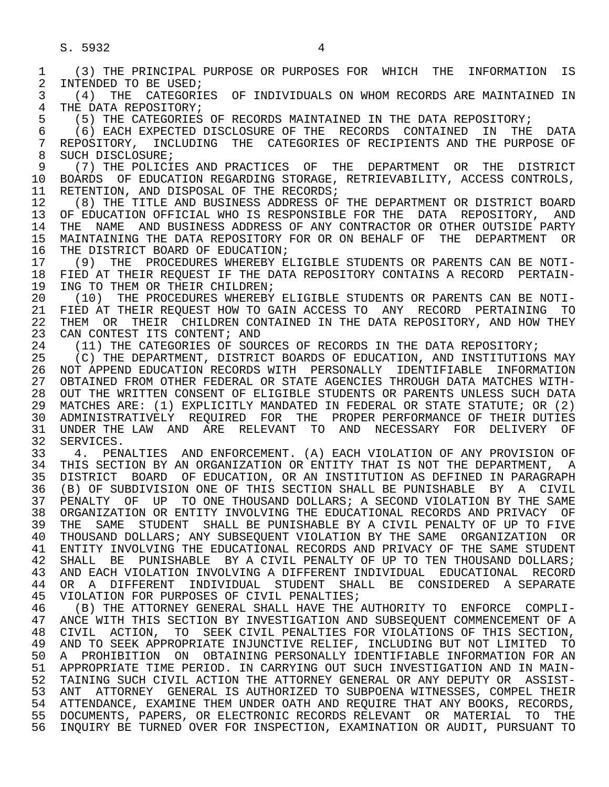1 (3) THE PRINCIPAL PURPOSE OR PURPOSES FOR WHICH THE INFORMATION IS 2 INTENDED TO BE USED;<br>3 (4) THE CATEGORII 3 (4) THE CATEGORIES OF INDIVIDUALS ON WHOM RECORDS ARE MAINTAINED IN 4 THE DATA REPOSITORY;<br>5 (5) THE CATEGORIES 5 (5) THE CATEGORIES OF RECORDS MAINTAINED IN THE DATA REPOSITORY;<br>6 (6) EACH EXPECTED DISCLOSURE OF THE RECORDS CONTAINED IN THE 6 (6) EACH EXPECTED DISCLOSURE OF THE RECORDS CONTAINED IN THE DATA 7 REPOSITORY, INCLUDING THE CATEGORIES OF RECIPIENTS AND THE PURPOSE OF A SUCH DISCLOSURE: 8 SUCH DISCLOSURE;<br>9 (7) THE POLICI 9 (7) THE POLICIES AND PRACTICES OF THE DEPARTMENT OR THE DISTRICT<br>10 BOARDS OF EDUCATION REGARDING STORAGE, RETRIEVARILITY, ACCESS CONTROLS, 10 BOARDS OF EDUCATION REGARDING STORAGE, RETRIEVABILITY, ACCESS CONTROLS, 11 RETENTION, AND DISPOSAL OF THE RECORDS; 11 RETENTION, AND DISPOSAL OF THE RECORDS;<br>12 (8) THE TITLE AND BUSINESS ADDRESS OF 12 (8) THE TITLE AND BUSINESS ADDRESS OF THE DEPARTMENT OR DISTRICT BOARD<br>13 OF EDUCATION OFFICIAL WHO IS RESPONSIBLE FOR THE DATA REPOSITORY, AND 13 OF EDUCATION OFFICIAL WHO IS RESPONSIBLE FOR THE DATA REPOSITORY, AND<br>14 THE NAME AND BUSINESS ADDRESS OF ANY CONTRACTOR OR OTHER OUTSIDE PARTY THE NAME AND BUSINESS ADDRESS OF ANY CONTRACTOR OR OTHER OUTSIDE PARTY 15 MAINTAINING THE DATA REPOSITORY FOR OR ON BEHALF OF THE DEPARTMENT OR<br>16 THE DISTRICT BOARD OF EDUCATION; 16 THE DISTRICT BOARD OF EDUCATION;<br>17 (9) THE PROCEDURES WHEREBY E 17 (9) THE PROCEDURES WHEREBY ELIGIBLE STUDENTS OR PARENTS CAN BE NOTI-<br>18 FIED AT THEIR REOUEST IF THE DATA REPOSITORY CONTAINS A RECORD PERTAIN-18 FIED AT THEIR REQUEST IF THE DATA REPOSITORY CONTAINS A RECORD PERTAIN-<br>19 ING TO THEM OR THEIR CHILDREN: 19 ING TO THEM OR THEIR CHILDREN;<br>20 (10) THE PROCEDURES WHEREBY 20 (10) THE PROCEDURES WHEREBY ELIGIBLE STUDENTS OR PARENTS CAN BE NOTI-<br>21 FIED AT THEIR REOUEST HOW TO GAIN ACCESS TO ANY RECORD PERTAINING TO 21 FIED AT THEIR REQUEST HOW TO GAIN ACCESS TO ANY RECORD PERTAINING TO<br>22 THEM OR THEIR CHILDREN CONTAINED IN THE DATA REPOSITORY, AND HOW THEY 22 THEM OR THEIR CHILDREN CONTAINED IN THE DATA REPOSITORY, AND HOW THEY<br>23 CAN CONTEST ITS CONTENT; AND CAN CONTEST ITS CONTENT; AND 24 (11) THE CATEGORIES OF SOURCES OF RECORDS IN THE DATA REPOSITORY;<br>25 (C) THE DEPARTMENT, DISTRICT BOARDS OF EDUCATION, AND INSTITUTION 25 (C) THE DEPARTMENT, DISTRICT BOARDS OF EDUCATION, AND INSTITUTIONS MAY 26 NOT APPEND EDUCATION RECORDS WITH PERSONALLY IDENTIFIABLE INFORMATION<br>27 OBTAINED FROM OTHER FEDERAL OR STATE AGENCIES THROUGH DATA MATCHES WITH-27 OBTAINED FROM OTHER FEDERAL OR STATE AGENCIES THROUGH DATA MATCHES WITH-<br>28 OUT THE WRITTEN CONSENT OF ELIGIBLE STUDENTS OR PARENTS UNLESS SUCH DATA OUT THE WRITTEN CONSENT OF ELIGIBLE STUDENTS OR PARENTS UNLESS SUCH DATA 29 MATCHES ARE: (1) EXPLICITLY MANDATED IN FEDERAL OR STATE STATUTE; OR (2) 30 ADMINISTRATIVELY REQUIRED FOR THE PROPER PERFORMANCE OF THEIR DUTIES 31 UNDER THE LAW AND ARE RELEVANT TO AND NECESSARY FOR DELIVERY OF 32 SERVICES. 32 SERVICES.<br>33 4. PEN 33 4. PENALTIES AND ENFORCEMENT. (A) EACH VIOLATION OF ANY PROVISION OF 34 THIS SECTION BY AN ORGANIZATION OR ENTITY THAT IS NOT THE DEPARTMENT. A 34 THIS SECTION BY AN ORGANIZATION OR ENTITY THAT IS NOT THE DEPARTMENT, A<br>35 DISTRICT BOARD OF EDUCATION, OR AN INSTITUTION AS DEFINED IN PARAGRAPH 35 DISTRICT BOARD OF EDUCATION, OR AN INSTITUTION AS DEFINED IN PARAGRAPH<br>36 (B) OF SUBDIVISION ONE OF THIS SECTION SHALL BE PUNISHABLE BY A CIVIL (B) OF SUBDIVISION ONE OF THIS SECTION SHALL BE PUNISHABLE BY A CIVIL 37 PENALTY OF UP TO ONE THOUSAND DOLLARS; A SECOND VIOLATION BY THE SAME<br>38 ORGANIZATION OR ENTITY INVOLVING THE EDUCATIONAL RECORDS AND PRIVACY OF 38 ORGANIZATION OR ENTITY INVOLVING THE EDUCATIONAL RECORDS AND PRIVACY OF THE SAME STUDENT SHALL BE PUNISHABLE BY A CIVIL PENALTY OF UP TO FIVE 39 THE SAME STUDENT SHALL BE PUNISHABLE BY A CIVIL PENALTY OF UP TO FIVE<br>40 THOUSAND DOLLARS; ANY SUBSEOUENT VIOLATION BY THE SAME ORGANIZATION OR 40 THOUSAND DOLLARS; ANY SUBSEQUENT VIOLATION BY THE SAME ORGANIZATION OR<br>41 ENTITY INVOLVING THE EDUCATIONAL RECORDS AND PRIVACY OF THE SAME STUDENT 41 ENTITY INVOLVING THE EDUCATIONAL RECORDS AND PRIVACY OF THE SAME STUDENT<br>42 SHALL BE PUNISHABLE BY A CIVIL PENALTY OF UP TO TEN THOUSAND DOLLARS; 42 SHALL BE PUNISHABLE BY A CIVIL PENALTY OF UP TO TEN THOUSAND DOLLARS;<br>43 AND EACH VIOLATION INVOLVING A DIFFERENT INDIVIDUAL, EDUCATIONAL, RECORD 43 AND EACH VIOLATION INVOLVING A DIFFERENT INDIVIDUAL EDUCATIONAL RECORD 44 OR A DIFFERENT INDIVIDUAL STUDENT SHALL BE CONSIDERED A-SEPARATE<br>45 VIOLATION-FOR-PURPOSES-OF-CIVIL-PENALTIES; VIOLATION FOR PURPOSES OF CIVIL PENALTIES; 46 (B) THE ATTORNEY GENERAL SHALL HAVE THE AUTHORITY TO ENFORCE COMPLI-<br>47 ANCE WITH THIS SECTION BY INVESTIGATION AND SUBSEOUENT COMMENCEMENT OF A ANCE WITH THIS SECTION BY INVESTIGATION AND SUBSEOUENT COMMENCEMENT OF A 48 CIVIL ACTION, TO SEEK CIVIL PENALTIES FOR VIOLATIONS OF THIS SECTION,<br>49 AND TO SEEK APPROPRIATE INJUNCTIVE RELIEF, INCLUDING BUT NOT LIMITED TO 49 AND TO SEEK APPROPRIATE INJUNCTIVE RELIEF, INCLUDING BUT NOT LIMITED TO<br>50 A PROHIBITION ON OBTAINING PERSONALLY IDENTIFIABLE INFORMATION FOR AN 50 A PROHIBITION ON OBTAINING PERSONALLY IDENTIFIABLE INFORMATION FOR AN<br>51 APPROPRIATE TIME PERIOD. IN CARRYING OUT SUCH INVESTIGATION AND IN MAIN-51 APPROPRIATE TIME PERIOD. IN CARRYING OUT SUCH INVESTIGATION AND IN MAIN-<br>52 TAINING SUCH CIVIL ACTION THE ATTORNEY GENERAL OR ANY DEPUTY OR ASSIST- 52 TAINING SUCH CIVIL ACTION THE ATTORNEY GENERAL OR ANY DEPUTY OR ASSIST- 53 ANT ATTORNEY GENERAL IS AUTHORIZED TO SUBPOENA WITNESSES, COMPEL THEIR 54 ATTENDANCE, EXAMINE THEM UNDER OATH AND REQUIRE THAT ANY BOOKS, RECORDS, 55 DOCUMENTS, PAPERS, OR ELECTRONIC RECORDS RELEVANT OR MATERIAL TO THE 56 INQUIRY BE TURNED OVER FOR INSPECTION, EXAMINATION OR AUDIT, PURSUANT TO